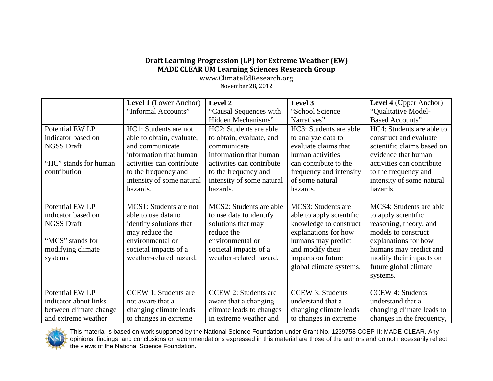## **Draft Learning Progression (LP) for Extreme Weather (EW) MADE CLEAR UM Learning Sciences Research Group**

www.ClimateEdResearch.org November 28, 2012

|                        | <b>Level 1</b> (Lower Anchor) | Level 2                     | Level 3                  | <b>Level 4</b> (Upper Anchor) |
|------------------------|-------------------------------|-----------------------------|--------------------------|-------------------------------|
|                        | "Informal Accounts"           | "Causal Sequences with      | "School Science"         | "Qualitative Model-           |
|                        |                               | Hidden Mechanisms"          | Narratives"              | <b>Based Accounts"</b>        |
| Potential EW LP        | HC1: Students are not         | HC2: Students are able      | HC3: Students are able   | HC4: Students are able to     |
| indicator based on     | able to obtain, evaluate,     | to obtain, evaluate, and    | to analyze data to       | construct and evaluate        |
| <b>NGSS Draft</b>      | and communicate               | communicate                 | evaluate claims that     | scientific claims based on    |
|                        | information that human        | information that human      | human activities         | evidence that human           |
| "HC" stands for human  | activities can contribute     | activities can contribute   | can contribute to the    | activities can contribute     |
| contribution           | to the frequency and          | to the frequency and        | frequency and intensity  | to the frequency and          |
|                        | intensity of some natural     | intensity of some natural   | of some natural          | intensity of some natural     |
|                        | hazards.                      | hazards.                    | hazards.                 | hazards.                      |
|                        |                               |                             |                          |                               |
| Potential EW LP        | MCS1: Students are not        | MCS2: Students are able     | MCS3: Students are       | MCS4: Students are able       |
| indicator based on     | able to use data to           | to use data to identify     | able to apply scientific | to apply scientific           |
| <b>NGSS Draft</b>      | identify solutions that       | solutions that may          | knowledge to construct   | reasoning, theory, and        |
|                        | may reduce the                | reduce the                  | explanations for how     | models to construct           |
| "MCS" stands for       | environmental or              | environmental or            | humans may predict       | explanations for how          |
| modifying climate      | societal impacts of a         | societal impacts of a       | and modify their         | humans may predict and        |
| systems                | weather-related hazard.       | weather-related hazard.     | impacts on future        | modify their impacts on       |
|                        |                               |                             | global climate systems.  | future global climate         |
|                        |                               |                             |                          | systems.                      |
|                        |                               |                             |                          |                               |
| Potential EW LP        | <b>CCEW 1: Students are</b>   | <b>CCEW 2: Students are</b> | <b>CCEW 3: Students</b>  | <b>CCEW 4: Students</b>       |
| indicator about links  | not aware that a              | aware that a changing       | understand that a        | understand that a             |
| between climate change | changing climate leads        | climate leads to changes    | changing climate leads   | changing climate leads to     |
| and extreme weather    | to changes in extreme         | in extreme weather and      | to changes in extreme.   | changes in the frequency,     |



This material is based on work supported by the National Science Foundation under Grant No. 1239758 CCEP-II: MADE-CLEAR. Any opinions, findings, and conclusions or recommendations expressed in this material are those of the authors and do not necessarily reflect the views of the National Science Foundation.